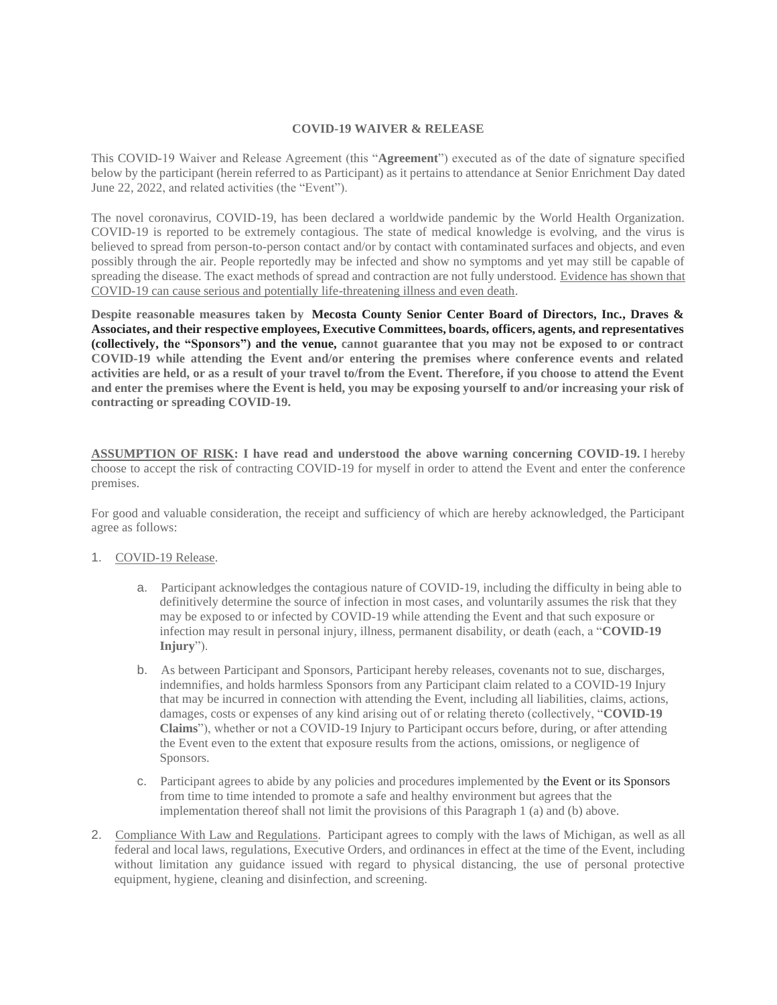## **COVID-19 WAIVER & RELEASE**

This COVID-19 Waiver and Release Agreement (this "**Agreement**") executed as of the date of signature specified below by the participant (herein referred to as Participant) as it pertains to attendance at Senior Enrichment Day dated June 22, 2022, and related activities (the "Event").

The novel coronavirus, COVID-19, has been declared a worldwide pandemic by the World Health Organization. COVID-19 is reported to be extremely contagious. The state of medical knowledge is evolving, and the virus is believed to spread from person-to-person contact and/or by contact with contaminated surfaces and objects, and even possibly through the air. People reportedly may be infected and show no symptoms and yet may still be capable of spreading the disease. The exact methods of spread and contraction are not fully understood. Evidence has shown that COVID-19 can cause serious and potentially life-threatening illness and even death.

**Despite reasonable measures taken by Mecosta County Senior Center Board of Directors, Inc., Draves & Associates, and their respective employees, Executive Committees, boards, officers, agents, and representatives (collectively, the "Sponsors") and the venue, cannot guarantee that you may not be exposed to or contract COVID-19 while attending the Event and/or entering the premises where conference events and related activities are held, or as a result of your travel to/from the Event. Therefore, if you choose to attend the Event and enter the premises where the Event is held, you may be exposing yourself to and/or increasing your risk of contracting or spreading COVID-19.**

**ASSUMPTION OF RISK: I have read and understood the above warning concerning COVID-19.** I hereby choose to accept the risk of contracting COVID-19 for myself in order to attend the Event and enter the conference premises.

For good and valuable consideration, the receipt and sufficiency of which are hereby acknowledged, the Participant agree as follows:

## 1. COVID-19 Release.

- a. Participant acknowledges the contagious nature of COVID-19, including the difficulty in being able to definitively determine the source of infection in most cases, and voluntarily assumes the risk that they may be exposed to or infected by COVID-19 while attending the Event and that such exposure or infection may result in personal injury, illness, permanent disability, or death (each, a "**COVID-19 Injury**").
- b. As between Participant and Sponsors, Participant hereby releases, covenants not to sue, discharges, indemnifies, and holds harmless Sponsors from any Participant claim related to a COVID-19 Injury that may be incurred in connection with attending the Event, including all liabilities, claims, actions, damages, costs or expenses of any kind arising out of or relating thereto (collectively, "**COVID-19 Claims**"), whether or not a COVID-19 Injury to Participant occurs before, during, or after attending the Event even to the extent that exposure results from the actions, omissions, or negligence of Sponsors.
- c. Participant agrees to abide by any policies and procedures implemented by the Event or its Sponsors from time to time intended to promote a safe and healthy environment but agrees that the implementation thereof shall not limit the provisions of this Paragraph 1 (a) and (b) above.
- 2. Compliance With Law and Regulations. Participant agrees to comply with the laws of Michigan, as well as all federal and local laws, regulations, Executive Orders, and ordinances in effect at the time of the Event, including without limitation any guidance issued with regard to physical distancing, the use of personal protective equipment, hygiene, cleaning and disinfection, and screening.